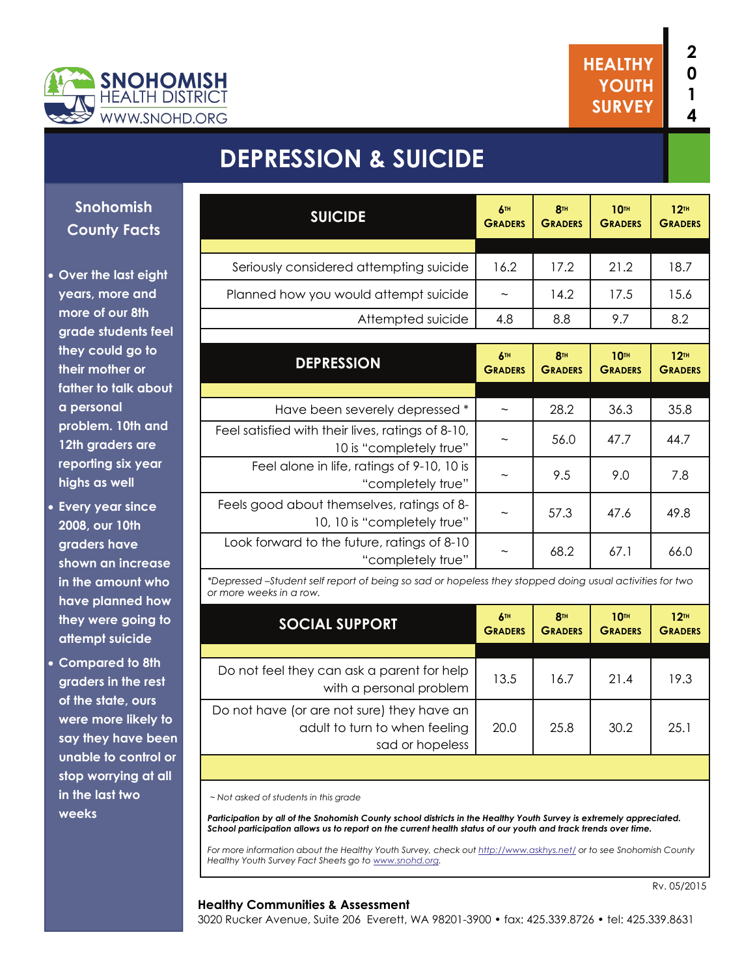

# **DEPRESSION & SUICIDE**

#### **Snohomish County Facts**

- **Over the last eight years, more and more of our 8th grade students feel they could go to their mother or father to talk about a personal problem. 10th and 12th graders are reporting six year highs as well**
- **Every year since 2008, our 10th graders have shown an increase in the amount who have planned how they were going to attempt suicide**
- **Compared to 8th graders in the rest of the state, ours were more likely to say they have been unable to control or stop worrying at all in the last two weeks**

| <b>SUICIDE</b>                                                               | 6TH<br><b>GRADERS</b>     | R <sub>TH</sub><br><b>GRADERS</b> | <b>10TH</b><br><b>GRADERS</b> | 12 <sup>TH</sup><br><b>GRADERS</b>   |  |  |
|------------------------------------------------------------------------------|---------------------------|-----------------------------------|-------------------------------|--------------------------------------|--|--|
|                                                                              |                           |                                   |                               |                                      |  |  |
| Seriously considered attempting suicide                                      | 16.2                      | 17.2                              | 21.2                          | 18.7                                 |  |  |
| Planned how you would attempt suicide                                        | $\widetilde{\phantom{m}}$ | 14.2                              | 17.5                          | 15.6                                 |  |  |
| Attempted suicide                                                            | 4.8                       | 8.8                               | 9.7                           | 8.2                                  |  |  |
|                                                                              |                           |                                   |                               |                                      |  |  |
| <b>DEPRESSION</b>                                                            | 6TH<br><b>GRADERS</b>     | R <sub>TH</sub><br><b>GRADERS</b> | <b>10TH</b><br><b>GRADERS</b> | $12$ <sup>TH</sup><br><b>GRADERS</b> |  |  |
|                                                                              |                           |                                   |                               |                                      |  |  |
| Have been severely depressed *                                               |                           | 28.2                              | 36.3                          | 35.8                                 |  |  |
| Feel satisfied with their lives, ratings of 8-10,<br>10 is "completely true" | $\tilde{}$                | 56.0                              | 47.7                          | 44.7                                 |  |  |
| Feel alone in life, ratings of 9-10, 10 is<br>"completely true"              |                           | 9.5                               | 9.0                           | 7.8                                  |  |  |
| Feels good about themselves, ratings of 8-<br>10, 10 is "completely true"    | $\widetilde{\phantom{m}}$ | 57.3                              | 47.6                          | 49.8                                 |  |  |
| Look forward to the future, ratings of 8-10<br>"completely true"             | $\widetilde{\phantom{m}}$ | 68.2                              | 67.1                          | 66.0                                 |  |  |
|                                                                              |                           |                                   |                               |                                      |  |  |

*\*Depressed –Student self report of being so sad or hopeless they stopped doing usual activities for two or more weeks in a row.*

| <b>SOCIAL SUPPORT</b>                                                                          | 6m<br><b>GRADERS</b> | 8 <sup>TH</sup><br><b>GRADERS</b> | <b>10TH</b><br><b>GRADERS</b> | 12 <sub>TH</sub><br><b>GRADERS</b> |
|------------------------------------------------------------------------------------------------|----------------------|-----------------------------------|-------------------------------|------------------------------------|
|                                                                                                |                      |                                   |                               |                                    |
| Do not feel they can ask a parent for help<br>with a personal problem                          | 13.5                 | 16.7                              | 21.4                          | 19.3                               |
| Do not have (or are not sure) they have an<br>adult to turn to when feeling<br>sad or hopeless | 20.0                 | 25.8                              | 30.2                          | 25.1                               |
|                                                                                                |                      |                                   |                               |                                    |

 *~ Not asked of students in this grade* 

*Participation by all of the Snohomish County school districts in the Healthy Youth Survey is extremely appreciated. School participation allows us to report on the current health status of our youth and track trends over time.* 

*For more information about the Healthy Youth Survey, check out<http://www.askhys.net/> or to see Snohomish County Healthy Youth Survey Fact Sheets go to [www.snohd.org](http://www.snohd.org/).* 

#### **Healthy Communities & Assessment**

3020 Rucker Avenue, Suite 206 Everett, WA 98201-3900 • fax: 425.339.8726 • tel: 425.339.8631